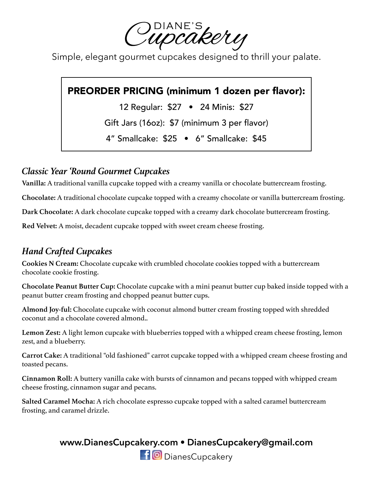Cupcakery

Simple, elegant gourmet cupcakes designed to thrill your palate.

# PREORDER PRICING (minimum 1 dozen per flavor):

12 Regular: \$27 • 24 Minis: \$27

Gift Jars (16oz): \$7 (minimum 3 per flavor)

4" Smallcake: \$25 • 6" Smallcake: \$45

#### *Classic Year 'Round Gourmet Cupcakes*

**Vanilla:** A traditional vanilla cupcake topped with a creamy vanilla or chocolate buttercream frosting.

**Chocolate:** A traditional chocolate cupcake topped with a creamy chocolate or vanilla buttercream frosting.

**Dark Chocolate:** A dark chocolate cupcake topped with a creamy dark chocolate buttercream frosting.

**Red Velvet:** A moist, decadent cupcake topped with sweet cream cheese frosting.

# *Hand Crafted Cupcakes*

**Cookies N Cream:** Chocolate cupcake with crumbled chocolate cookies topped with a buttercream chocolate cookie frosting.

**Chocolate Peanut Butter Cup:** Chocolate cupcake with a mini peanut butter cup baked inside topped with a peanut butter cream frosting and chopped peanut butter cups.

**Almond Joy-ful:** Chocolate cupcake with coconut almond butter cream frosting topped with shredded coconut and a chocolate covered almond..

**Lemon Zest:** A light lemon cupcake with blueberries topped with a whipped cream cheese frosting, lemon zest, and a blueberry.

**Carrot Cake:** A traditional "old fashioned" carrot cupcake topped with a whipped cream cheese frosting and toasted pecans.

**Cinnamon Roll:** A buttery vanilla cake with bursts of cinnamon and pecans topped with whipped cream cheese frosting, cinnamon sugar and pecans.

**Salted Caramel Mocha:** A rich chocolate espresso cupcake topped with a salted caramel buttercream frosting, and caramel drizzle.

# **www.DianesCupcakery.com • DianesCupcakery@gmail.com**

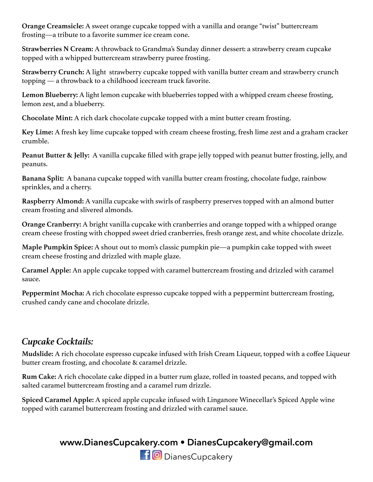**Orange Creamsicle:** A sweet orange cupcake topped with a vanilla and orange "twist" buttercream frosting—a tribute to a favorite summer ice cream cone.

**Strawberries N Cream:** A throwback to Grandma's Sunday dinner dessert: a strawberry cream cupcake topped with a whipped buttercream strawberry puree frosting.

**Strawberry Crunch:** A light strawberry cupcake topped with vanilla butter cream and strawberry crunch topping — a throwback to a childhood icecream truck favorite.

**Lemon Blueberry:** A light lemon cupcake with blueberries topped with a whipped cream cheese frosting, lemon zest, and a blueberry.

**Chocolate Mint:** A rich dark chocolate cupcake topped with a mint butter cream frosting.

**Key Lime:** A fresh key lime cupcake topped with cream cheese frosting, fresh lime zest and a graham cracker crumble.

**Peanut Butter & Jelly:** A vanilla cupcake filled with grape jelly topped with peanut butter frosting, jelly, and peanuts.

**Banana Split:** A banana cupcake topped with vanilla butter cream frosting, chocolate fudge, rainbow sprinkles, and a cherry.

**Raspberry Almond:** A vanilla cupcake with swirls of raspberry preserves topped with an almond butter cream frosting and slivered almonds.

**Orange Cranberry:** A bright vanilla cupcake with cranberries and orange topped with a whipped orange cream cheese frosting with chopped sweet dried cranberries, fresh orange zest, and white chocolate drizzle.

**Maple Pumpkin Spice:** A shout out to mom's classic pumpkin pie—a pumpkin cake topped with sweet cream cheese frosting and drizzled with maple glaze.

**Caramel Apple:** An apple cupcake topped with caramel buttercream frosting and drizzled with caramel sauce.

**Peppermint Mocha:** A rich chocolate espresso cupcake topped with a peppermint buttercream frosting, crushed candy cane and chocolate drizzle.

#### *Cupcake Cocktails:*

**Mudslide:** A rich chocolate espresso cupcake infused with Irish Cream Liqueur, topped with a coffee Liqueur butter cream frosting, and chocolate & caramel drizzle.

**Rum Cake:** A rich chocolate cake dipped in a butter rum glaze, rolled in toasted pecans, and topped with salted caramel buttercream frosting and a caramel rum drizzle.

**Spiced Caramel Apple:** A spiced apple cupcake infused with Linganore Winecellar's Spiced Apple wine topped with caramel buttercream frosting and drizzled with caramel sauce.

#### **www.DianesCupcakery.com • DianesCupcakery@gmail.com**